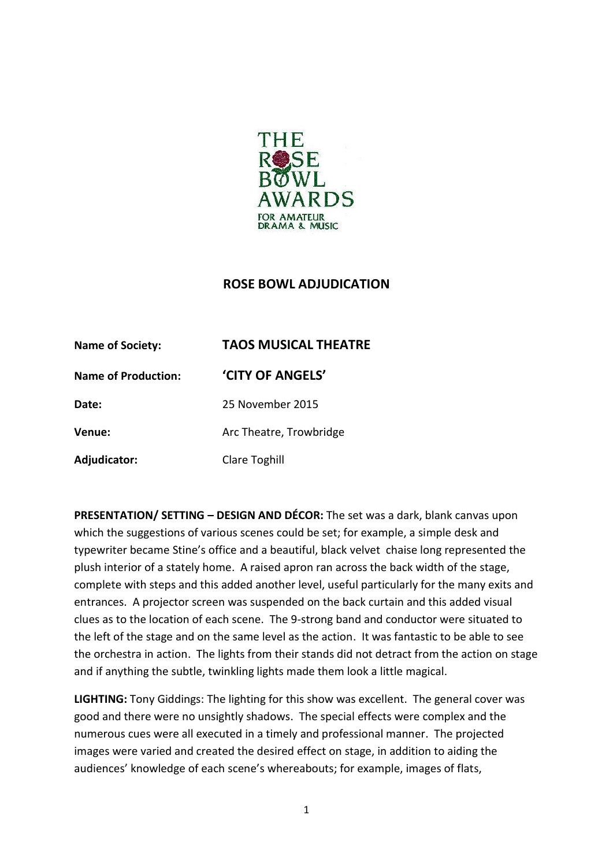

## **ROSE BOWL ADJUDICATION**

| <b>Name of Society:</b>    | <b>TAOS MUSICAL THEATRE</b> |
|----------------------------|-----------------------------|
| <b>Name of Production:</b> | 'CITY OF ANGELS'            |
| Date:                      | 25 November 2015            |
| Venue:                     | Arc Theatre, Trowbridge     |
| Adjudicator:               | Clare Toghill               |

**PRESENTATION/ SETTING – DESIGN AND DÉCOR:** The set was a dark, blank canvas upon which the suggestions of various scenes could be set; for example, a simple desk and typewriter became Stine's office and a beautiful, black velvet chaise long represented the plush interior of a stately home. A raised apron ran across the back width of the stage, complete with steps and this added another level, useful particularly for the many exits and entrances. A projector screen was suspended on the back curtain and this added visual clues as to the location of each scene. The 9-strong band and conductor were situated to the left of the stage and on the same level as the action. It was fantastic to be able to see the orchestra in action. The lights from their stands did not detract from the action on stage and if anything the subtle, twinkling lights made them look a little magical.

**LIGHTING:** Tony Giddings: The lighting for this show was excellent. The general cover was good and there were no unsightly shadows. The special effects were complex and the numerous cues were all executed in a timely and professional manner. The projected images were varied and created the desired effect on stage, in addition to aiding the audiences' knowledge of each scene's whereabouts; for example, images of flats,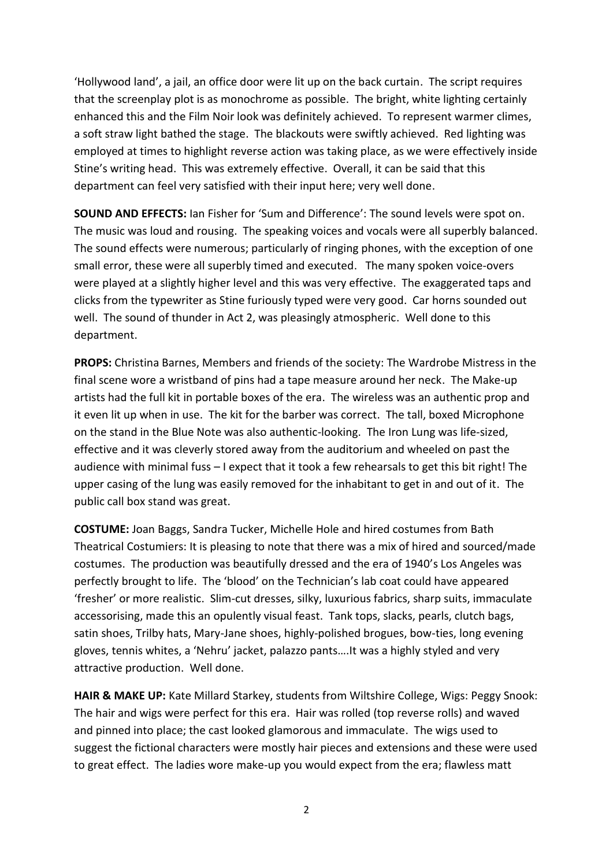'Hollywood land', a jail, an office door were lit up on the back curtain. The script requires that the screenplay plot is as monochrome as possible. The bright, white lighting certainly enhanced this and the Film Noir look was definitely achieved. To represent warmer climes, a soft straw light bathed the stage. The blackouts were swiftly achieved. Red lighting was employed at times to highlight reverse action was taking place, as we were effectively inside Stine's writing head. This was extremely effective. Overall, it can be said that this department can feel very satisfied with their input here; very well done.

**SOUND AND EFFECTS:** Ian Fisher for 'Sum and Difference': The sound levels were spot on. The music was loud and rousing. The speaking voices and vocals were all superbly balanced. The sound effects were numerous; particularly of ringing phones, with the exception of one small error, these were all superbly timed and executed. The many spoken voice-overs were played at a slightly higher level and this was very effective. The exaggerated taps and clicks from the typewriter as Stine furiously typed were very good. Car horns sounded out well. The sound of thunder in Act 2, was pleasingly atmospheric. Well done to this department.

**PROPS:** Christina Barnes, Members and friends of the society: The Wardrobe Mistress in the final scene wore a wristband of pins had a tape measure around her neck. The Make-up artists had the full kit in portable boxes of the era. The wireless was an authentic prop and it even lit up when in use. The kit for the barber was correct. The tall, boxed Microphone on the stand in the Blue Note was also authentic-looking. The Iron Lung was life-sized, effective and it was cleverly stored away from the auditorium and wheeled on past the audience with minimal fuss – I expect that it took a few rehearsals to get this bit right! The upper casing of the lung was easily removed for the inhabitant to get in and out of it. The public call box stand was great.

**COSTUME:** Joan Baggs, Sandra Tucker, Michelle Hole and hired costumes from Bath Theatrical Costumiers: It is pleasing to note that there was a mix of hired and sourced/made costumes. The production was beautifully dressed and the era of 1940's Los Angeles was perfectly brought to life. The 'blood' on the Technician's lab coat could have appeared 'fresher' or more realistic. Slim-cut dresses, silky, luxurious fabrics, sharp suits, immaculate accessorising, made this an opulently visual feast. Tank tops, slacks, pearls, clutch bags, satin shoes, Trilby hats, Mary-Jane shoes, highly-polished brogues, bow-ties, long evening gloves, tennis whites, a 'Nehru' jacket, palazzo pants….It was a highly styled and very attractive production. Well done.

**HAIR & MAKE UP:** Kate Millard Starkey, students from Wiltshire College, Wigs: Peggy Snook: The hair and wigs were perfect for this era. Hair was rolled (top reverse rolls) and waved and pinned into place; the cast looked glamorous and immaculate. The wigs used to suggest the fictional characters were mostly hair pieces and extensions and these were used to great effect. The ladies wore make-up you would expect from the era; flawless matt

2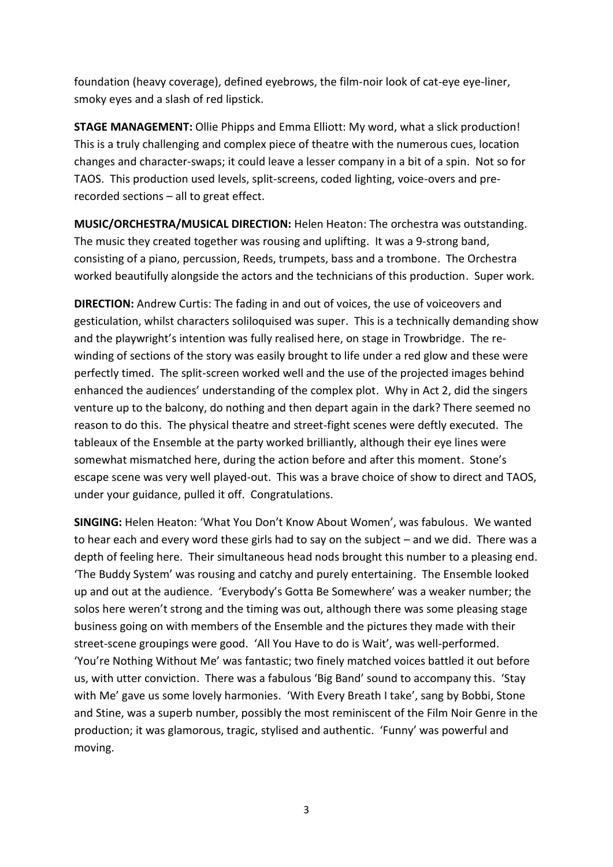foundation (heavy coverage), defined eyebrows, the film-noir look of cat-eye eye-liner, smoky eyes and a slash of red lipstick.

**STAGE MANAGEMENT:** Ollie Phipps and Emma Elliott: My word, what a slick production! This is a truly challenging and complex piece of theatre with the numerous cues, location changes and character-swaps; it could leave a lesser company in a bit of a spin. Not so for TAOS. This production used levels, split-screens, coded lighting, voice-overs and prerecorded sections – all to great effect.

**MUSIC/ORCHESTRA/MUSICAL DIRECTION:** Helen Heaton: The orchestra was outstanding. The music they created together was rousing and uplifting. It was a 9-strong band, consisting of a piano, percussion, Reeds, trumpets, bass and a trombone. The Orchestra worked beautifully alongside the actors and the technicians of this production. Super work.

**DIRECTION:** Andrew Curtis: The fading in and out of voices, the use of voiceovers and gesticulation, whilst characters soliloquised was super. This is a technically demanding show and the playwright's intention was fully realised here, on stage in Trowbridge. The rewinding of sections of the story was easily brought to life under a red glow and these were perfectly timed. The split-screen worked well and the use of the projected images behind enhanced the audiences' understanding of the complex plot. Why in Act 2, did the singers venture up to the balcony, do nothing and then depart again in the dark? There seemed no reason to do this. The physical theatre and street-fight scenes were deftly executed. The tableaux of the Ensemble at the party worked brilliantly, although their eye lines were somewhat mismatched here, during the action before and after this moment. Stone's escape scene was very well played-out. This was a brave choice of show to direct and TAOS, under your guidance, pulled it off. Congratulations.

**SINGING:** Helen Heaton: 'What You Don't Know About Women', was fabulous. We wanted to hear each and every word these girls had to say on the subject – and we did. There was a depth of feeling here. Their simultaneous head nods brought this number to a pleasing end. 'The Buddy System' was rousing and catchy and purely entertaining. The Ensemble looked up and out at the audience. 'Everybody's Gotta Be Somewhere' was a weaker number; the solos here weren't strong and the timing was out, although there was some pleasing stage business going on with members of the Ensemble and the pictures they made with their street-scene groupings were good. 'All You Have to do is Wait', was well-performed. 'You're Nothing Without Me' was fantastic; two finely matched voices battled it out before us, with utter conviction. There was a fabulous 'Big Band' sound to accompany this. 'Stay with Me' gave us some lovely harmonies. 'With Every Breath I take', sang by Bobbi, Stone and Stine, was a superb number, possibly the most reminiscent of the Film Noir Genre in the production; it was glamorous, tragic, stylised and authentic. 'Funny' was powerful and moving.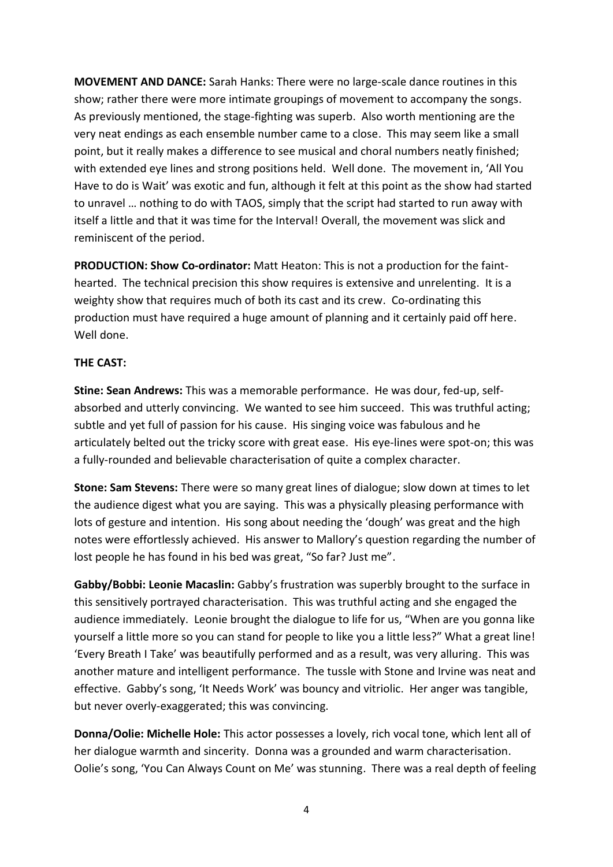**MOVEMENT AND DANCE:** Sarah Hanks: There were no large-scale dance routines in this show; rather there were more intimate groupings of movement to accompany the songs. As previously mentioned, the stage-fighting was superb. Also worth mentioning are the very neat endings as each ensemble number came to a close. This may seem like a small point, but it really makes a difference to see musical and choral numbers neatly finished; with extended eye lines and strong positions held. Well done. The movement in, 'All You Have to do is Wait' was exotic and fun, although it felt at this point as the show had started to unravel … nothing to do with TAOS, simply that the script had started to run away with itself a little and that it was time for the Interval! Overall, the movement was slick and reminiscent of the period.

**PRODUCTION: Show Co-ordinator:** Matt Heaton: This is not a production for the fainthearted. The technical precision this show requires is extensive and unrelenting. It is a weighty show that requires much of both its cast and its crew. Co-ordinating this production must have required a huge amount of planning and it certainly paid off here. Well done.

## **THE CAST:**

**Stine: Sean Andrews:** This was a memorable performance. He was dour, fed-up, selfabsorbed and utterly convincing. We wanted to see him succeed. This was truthful acting; subtle and yet full of passion for his cause. His singing voice was fabulous and he articulately belted out the tricky score with great ease. His eye-lines were spot-on; this was a fully-rounded and believable characterisation of quite a complex character.

**Stone: Sam Stevens:** There were so many great lines of dialogue; slow down at times to let the audience digest what you are saying. This was a physically pleasing performance with lots of gesture and intention. His song about needing the 'dough' was great and the high notes were effortlessly achieved. His answer to Mallory's question regarding the number of lost people he has found in his bed was great, "So far? Just me".

**Gabby/Bobbi: Leonie Macaslin:** Gabby's frustration was superbly brought to the surface in this sensitively portrayed characterisation. This was truthful acting and she engaged the audience immediately. Leonie brought the dialogue to life for us, "When are you gonna like yourself a little more so you can stand for people to like you a little less?" What a great line! 'Every Breath I Take' was beautifully performed and as a result, was very alluring. This was another mature and intelligent performance. The tussle with Stone and Irvine was neat and effective. Gabby's song, 'It Needs Work' was bouncy and vitriolic. Her anger was tangible, but never overly-exaggerated; this was convincing.

**Donna/Oolie: Michelle Hole:** This actor possesses a lovely, rich vocal tone, which lent all of her dialogue warmth and sincerity. Donna was a grounded and warm characterisation. Oolie's song, 'You Can Always Count on Me' was stunning. There was a real depth of feeling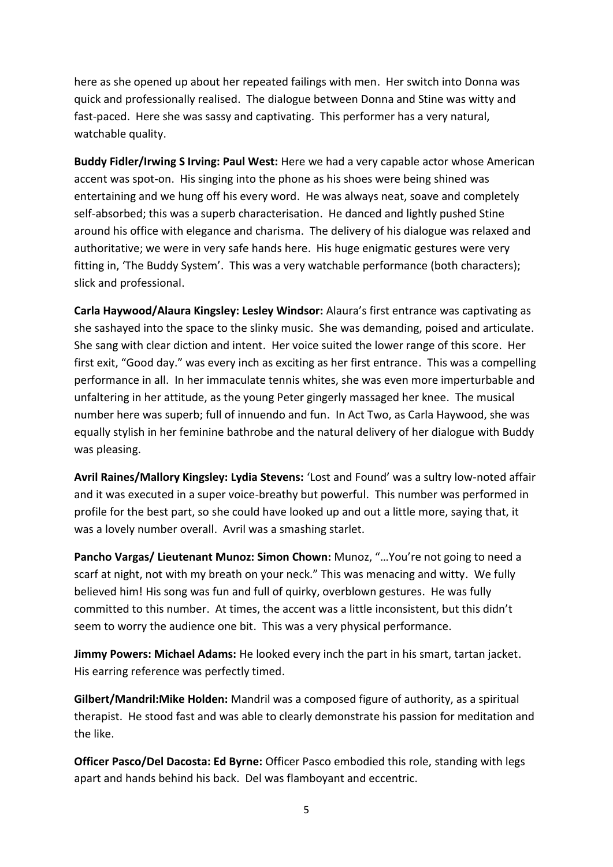here as she opened up about her repeated failings with men. Her switch into Donna was quick and professionally realised. The dialogue between Donna and Stine was witty and fast-paced. Here she was sassy and captivating. This performer has a very natural, watchable quality.

**Buddy Fidler/Irwing S Irving: Paul West:** Here we had a very capable actor whose American accent was spot-on. His singing into the phone as his shoes were being shined was entertaining and we hung off his every word. He was always neat, soave and completely self-absorbed; this was a superb characterisation. He danced and lightly pushed Stine around his office with elegance and charisma. The delivery of his dialogue was relaxed and authoritative; we were in very safe hands here. His huge enigmatic gestures were very fitting in, 'The Buddy System'. This was a very watchable performance (both characters); slick and professional.

**Carla Haywood/Alaura Kingsley: Lesley Windsor:** Alaura's first entrance was captivating as she sashayed into the space to the slinky music. She was demanding, poised and articulate. She sang with clear diction and intent. Her voice suited the lower range of this score. Her first exit, "Good day." was every inch as exciting as her first entrance. This was a compelling performance in all. In her immaculate tennis whites, she was even more imperturbable and unfaltering in her attitude, as the young Peter gingerly massaged her knee. The musical number here was superb; full of innuendo and fun. In Act Two, as Carla Haywood, she was equally stylish in her feminine bathrobe and the natural delivery of her dialogue with Buddy was pleasing.

**Avril Raines/Mallory Kingsley: Lydia Stevens:** 'Lost and Found' was a sultry low-noted affair and it was executed in a super voice-breathy but powerful. This number was performed in profile for the best part, so she could have looked up and out a little more, saying that, it was a lovely number overall. Avril was a smashing starlet.

**Pancho Vargas/ Lieutenant Munoz: Simon Chown:** Munoz, "…You're not going to need a scarf at night, not with my breath on your neck." This was menacing and witty. We fully believed him! His song was fun and full of quirky, overblown gestures. He was fully committed to this number. At times, the accent was a little inconsistent, but this didn't seem to worry the audience one bit. This was a very physical performance.

**Jimmy Powers: Michael Adams:** He looked every inch the part in his smart, tartan jacket. His earring reference was perfectly timed.

**Gilbert/Mandril:Mike Holden:** Mandril was a composed figure of authority, as a spiritual therapist. He stood fast and was able to clearly demonstrate his passion for meditation and the like.

**Officer Pasco/Del Dacosta: Ed Byrne:** Officer Pasco embodied this role, standing with legs apart and hands behind his back. Del was flamboyant and eccentric.